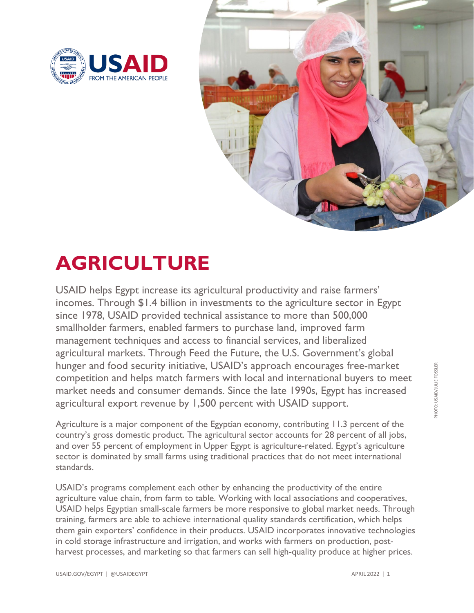



## **AGRICULTURE**

USAID helps Egypt increase its agricultural productivity and raise farmers' incomes. Through \$1.4 billion in investments to the agriculture sector in Egypt since 1978, USAID provided technical assistance to more than 500,000 smallholder farmers, enabled farmers to purchase land, improved farm management techniques and access to financial services, and liberalized agricultural markets. Through Feed the Future, the U.S. Government's global hunger and food security initiative, USAID's approach encourages free-market competition and helps match farmers with local and international buyers to meet market needs and consumer demands. Since the late 1990s, Egypt has increased agricultural export revenue by 1,500 percent with USAID support.

Agriculture is a major component of the Egyptian economy, contributing 11.3 percent of the country's gross domestic product. The agricultural sector accounts for 28 percent of all jobs, and over 55 percent of employment in Upper Egypt is agriculture-related. Egypt's agriculture sector is dominated by small farms using traditional practices that do not meet international standards.

USAID's programs complement each other by enhancing the productivity of the entire agriculture value chain, from farm to table. Working with local associations and cooperatives, USAID helps Egyptian small-scale farmers be more responsive to global market needs. Through training, farmers are able to achieve international quality standards certification, which helps them gain exporters' confidence in their products. USAID incorporates innovative technologies in cold storage infrastructure and irrigation, and works with farmers on production, postharvest processes, and marketing so that farmers can sell high-quality produce at higher prices.